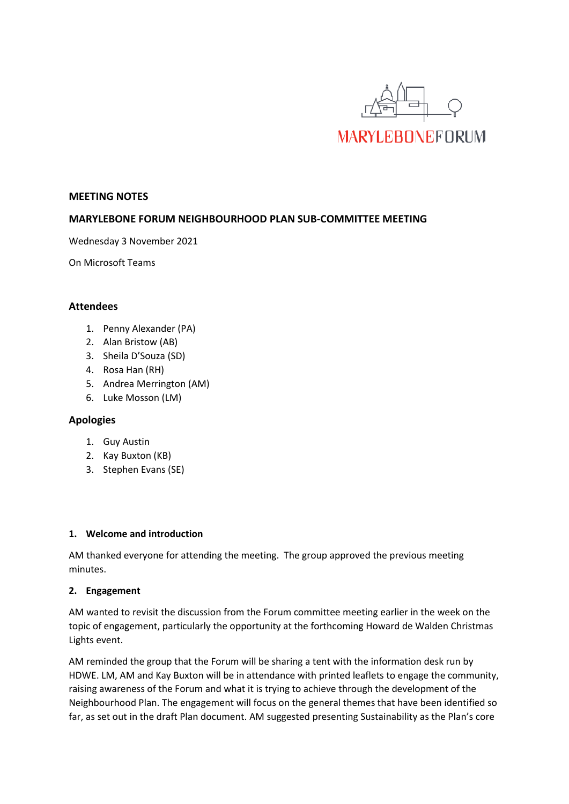

#### **MEETING NOTES**

## **MARYLEBONE FORUM NEIGHBOURHOOD PLAN SUB-COMMITTEE MEETING**

Wednesday 3 November 2021

On Microsoft Teams

### **Attendees**

- 1. Penny Alexander (PA)
- 2. Alan Bristow (AB)
- 3. Sheila D'Souza (SD)
- 4. Rosa Han (RH)
- 5. Andrea Merrington (AM)
- 6. Luke Mosson (LM)

#### **Apologies**

- 1. Guy Austin
- 2. Kay Buxton (KB)
- 3. Stephen Evans (SE)

#### **1. Welcome and introduction**

AM thanked everyone for attending the meeting. The group approved the previous meeting minutes.

#### **2. Engagement**

AM wanted to revisit the discussion from the Forum committee meeting earlier in the week on the topic of engagement, particularly the opportunity at the forthcoming Howard de Walden Christmas Lights event.

AM reminded the group that the Forum will be sharing a tent with the information desk run by HDWE. LM, AM and Kay Buxton will be in attendance with printed leaflets to engage the community, raising awareness of the Forum and what it is trying to achieve through the development of the Neighbourhood Plan. The engagement will focus on the general themes that have been identified so far, as set out in the draft Plan document. AM suggested presenting Sustainability as the Plan's core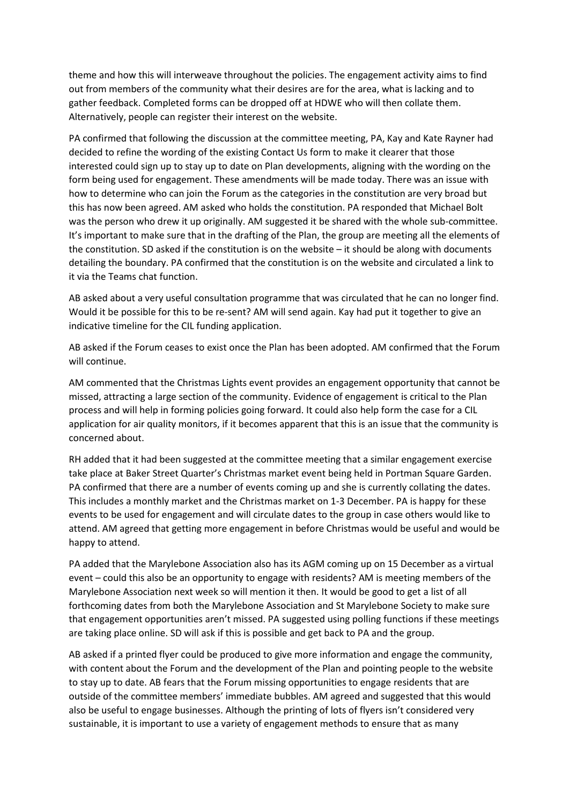theme and how this will interweave throughout the policies. The engagement activity aims to find out from members of the community what their desires are for the area, what is lacking and to gather feedback. Completed forms can be dropped off at HDWE who will then collate them. Alternatively, people can register their interest on the website.

PA confirmed that following the discussion at the committee meeting, PA, Kay and Kate Rayner had decided to refine the wording of the existing Contact Us form to make it clearer that those interested could sign up to stay up to date on Plan developments, aligning with the wording on the form being used for engagement. These amendments will be made today. There was an issue with how to determine who can join the Forum as the categories in the constitution are very broad but this has now been agreed. AM asked who holds the constitution. PA responded that Michael Bolt was the person who drew it up originally. AM suggested it be shared with the whole sub-committee. It's important to make sure that in the drafting of the Plan, the group are meeting all the elements of the constitution. SD asked if the constitution is on the website  $-$  it should be along with documents detailing the boundary. PA confirmed that the constitution is on the website and circulated a link to it via the Teams chat function.

AB asked about a very useful consultation programme that was circulated that he can no longer find. Would it be possible for this to be re-sent? AM will send again. Kay had put it together to give an indicative timeline for the CIL funding application.

AB asked if the Forum ceases to exist once the Plan has been adopted. AM confirmed that the Forum will continue.

AM commented that the Christmas Lights event provides an engagement opportunity that cannot be missed, attracting a large section of the community. Evidence of engagement is critical to the Plan process and will help in forming policies going forward. It could also help form the case for a CIL application for air quality monitors, if it becomes apparent that this is an issue that the community is concerned about.

RH added that it had been suggested at the committee meeting that a similar engagement exercise take place at Baker Street Quarter's Christmas market event being held in Portman Square Garden. PA confirmed that there are a number of events coming up and she is currently collating the dates. This includes a monthly market and the Christmas market on 1-3 December. PA is happy for these events to be used for engagement and will circulate dates to the group in case others would like to attend. AM agreed that getting more engagement in before Christmas would be useful and would be happy to attend.

PA added that the Marylebone Association also has its AGM coming up on 15 December as a virtual event – could this also be an opportunity to engage with residents? AM is meeting members of the Marylebone Association next week so will mention it then. It would be good to get a list of all forthcoming dates from both the Marylebone Association and St Marylebone Society to make sure that engagement opportunities aren't missed. PA suggested using polling functions if these meetings are taking place online. SD will ask if this is possible and get back to PA and the group.

AB asked if a printed flyer could be produced to give more information and engage the community, with content about the Forum and the development of the Plan and pointing people to the website to stay up to date. AB fears that the Forum missing opportunities to engage residents that are outside of the committee members' immediate bubbles. AM agreed and suggested that this would also be useful to engage businesses. Although the printing of lots of flyers isn't considered very sustainable, it is important to use a variety of engagement methods to ensure that as many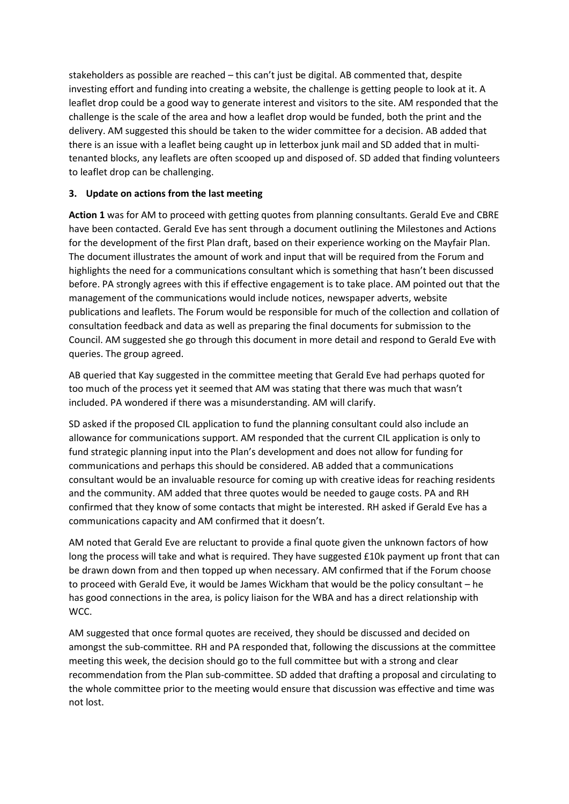stakeholders as possible are reached – this can't just be digital. AB commented that, despite investing effort and funding into creating a website, the challenge is getting people to look at it. A leaflet drop could be a good way to generate interest and visitors to the site. AM responded that the challenge is the scale of the area and how a leaflet drop would be funded, both the print and the delivery. AM suggested this should be taken to the wider committee for a decision. AB added that there is an issue with a leaflet being caught up in letterbox junk mail and SD added that in multitenanted blocks, any leaflets are often scooped up and disposed of. SD added that finding volunteers to leaflet drop can be challenging.

## **3. Update on actions from the last meeting**

**Action 1** was for AM to proceed with getting quotes from planning consultants. Gerald Eve and CBRE have been contacted. Gerald Eve has sent through a document outlining the Milestones and Actions for the development of the first Plan draft, based on their experience working on the Mayfair Plan. The document illustrates the amount of work and input that will be required from the Forum and highlights the need for a communications consultant which is something that hasn't been discussed before. PA strongly agrees with this if effective engagement is to take place. AM pointed out that the management of the communications would include notices, newspaper adverts, website publications and leaflets. The Forum would be responsible for much of the collection and collation of consultation feedback and data as well as preparing the final documents for submission to the Council. AM suggested she go through this document in more detail and respond to Gerald Eve with queries. The group agreed.

AB queried that Kay suggested in the committee meeting that Gerald Eve had perhaps quoted for too much of the process yet it seemed that AM was stating that there was much that wasn't included. PA wondered if there was a misunderstanding. AM will clarify.

SD asked if the proposed CIL application to fund the planning consultant could also include an allowance for communications support. AM responded that the current CIL application is only to fund strategic planning input into the Plan's development and does not allow for funding for communications and perhaps this should be considered. AB added that a communications consultant would be an invaluable resource for coming up with creative ideas for reaching residents and the community. AM added that three quotes would be needed to gauge costs. PA and RH confirmed that they know of some contacts that might be interested. RH asked if Gerald Eve has a communications capacity and AM confirmed that it doesn't.

AM noted that Gerald Eve are reluctant to provide a final quote given the unknown factors of how long the process will take and what is required. They have suggested £10k payment up front that can be drawn down from and then topped up when necessary. AM confirmed that if the Forum choose to proceed with Gerald Eve, it would be James Wickham that would be the policy consultant – he has good connections in the area, is policy liaison for the WBA and has a direct relationship with WCC.

AM suggested that once formal quotes are received, they should be discussed and decided on amongst the sub-committee. RH and PA responded that, following the discussions at the committee meeting this week, the decision should go to the full committee but with a strong and clear recommendation from the Plan sub-committee. SD added that drafting a proposal and circulating to the whole committee prior to the meeting would ensure that discussion was effective and time was not lost.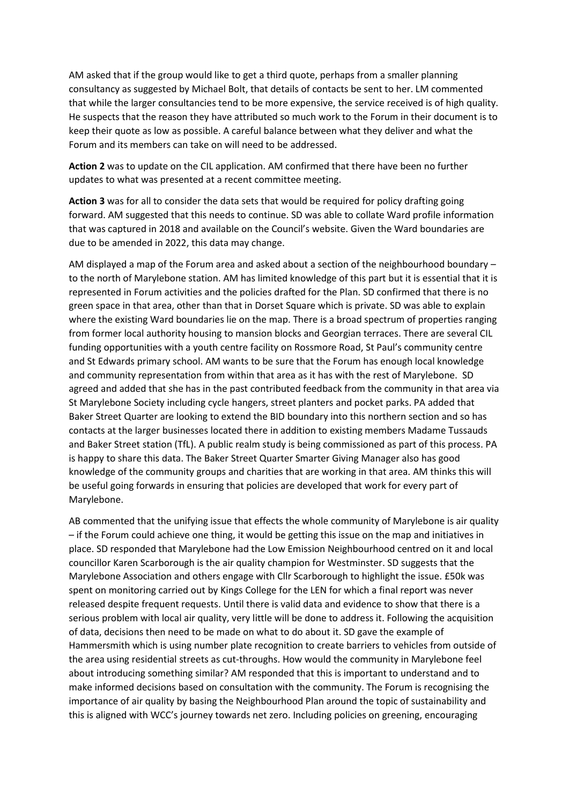AM asked that if the group would like to get a third quote, perhaps from a smaller planning consultancy as suggested by Michael Bolt, that details of contacts be sent to her. LM commented that while the larger consultancies tend to be more expensive, the service received is of high quality. He suspects that the reason they have attributed so much work to the Forum in their document is to keep their quote as low as possible. A careful balance between what they deliver and what the Forum and its members can take on will need to be addressed.

**Action 2** was to update on the CIL application. AM confirmed that there have been no further updates to what was presented at a recent committee meeting.

**Action 3** was for all to consider the data sets that would be required for policy drafting going forward. AM suggested that this needs to continue. SD was able to collate Ward profile information that was captured in 2018 and available on the Council's website. Given the Ward boundaries are due to be amended in 2022, this data may change.

AM displayed a map of the Forum area and asked about a section of the neighbourhood boundary – to the north of Marylebone station. AM has limited knowledge of this part but it is essential that it is represented in Forum activities and the policies drafted for the Plan. SD confirmed that there is no green space in that area, other than that in Dorset Square which is private. SD was able to explain where the existing Ward boundaries lie on the map. There is a broad spectrum of properties ranging from former local authority housing to mansion blocks and Georgian terraces. There are several CIL funding opportunities with a youth centre facility on Rossmore Road, St Paul's community centre and St Edwards primary school. AM wants to be sure that the Forum has enough local knowledge and community representation from within that area as it has with the rest of Marylebone. SD agreed and added that she has in the past contributed feedback from the community in that area via St Marylebone Society including cycle hangers, street planters and pocket parks. PA added that Baker Street Quarter are looking to extend the BID boundary into this northern section and so has contacts at the larger businesses located there in addition to existing members Madame Tussauds and Baker Street station (TfL). A public realm study is being commissioned as part of this process. PA is happy to share this data. The Baker Street Quarter Smarter Giving Manager also has good knowledge of the community groups and charities that are working in that area. AM thinks this will be useful going forwards in ensuring that policies are developed that work for every part of Marylebone.

AB commented that the unifying issue that effects the whole community of Marylebone is air quality – if the Forum could achieve one thing, it would be getting this issue on the map and initiatives in place. SD responded that Marylebone had the Low Emission Neighbourhood centred on it and local councillor Karen Scarborough is the air quality champion for Westminster. SD suggests that the Marylebone Association and others engage with Cllr Scarborough to highlight the issue. £50k was spent on monitoring carried out by Kings College for the LEN for which a final report was never released despite frequent requests. Until there is valid data and evidence to show that there is a serious problem with local air quality, very little will be done to address it. Following the acquisition of data, decisions then need to be made on what to do about it. SD gave the example of Hammersmith which is using number plate recognition to create barriers to vehicles from outside of the area using residential streets as cut-throughs. How would the community in Marylebone feel about introducing something similar? AM responded that this is important to understand and to make informed decisions based on consultation with the community. The Forum is recognising the importance of air quality by basing the Neighbourhood Plan around the topic of sustainability and this is aligned with WCC's journey towards net zero. Including policies on greening, encouraging